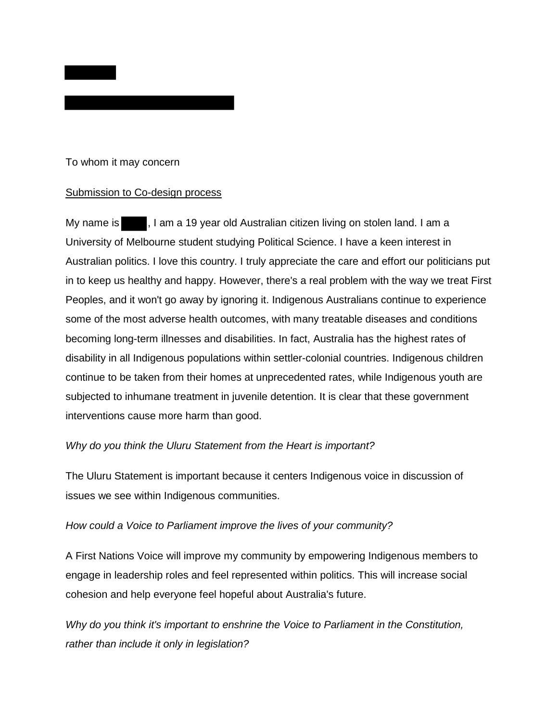

### To whom it may concern

### Submission to Co-design process

My name is  $\blacksquare$ , I am a 19 year old Australian citizen living on stolen land. I am a University of Melbourne student studying Political Science. I have a keen interest in Australian politics. I love this country. I truly appreciate the care and effort our politicians put in to keep us healthy and happy. However, there's a real problem with the way we treat First Peoples, and it won't go away by ignoring it. Indigenous Australians continue to experience some of the most adverse health outcomes, with many treatable diseases and conditions becoming long-term illnesses and disabilities. In fact, Australia has the highest rates of disability in all Indigenous populations within settler-colonial countries. Indigenous children continue to be taken from their homes at unprecedented rates, while Indigenous youth are subjected to inhumane treatment in juvenile detention. It is clear that these government interventions cause more harm than good.

# *Why do you think the Uluru Statement from the Heart is important?*

The Uluru Statement is important because it centers Indigenous voice in discussion of issues we see within Indigenous communities.

### *How could a Voice to Parliament improve the lives of your community?*

A First Nations Voice will improve my community by empowering Indigenous members to engage in leadership roles and feel represented within politics. This will increase social cohesion and help everyone feel hopeful about Australia's future.

*Why do you think it's important to enshrine the Voice to Parliament in the Constitution, rather than include it only in legislation?*